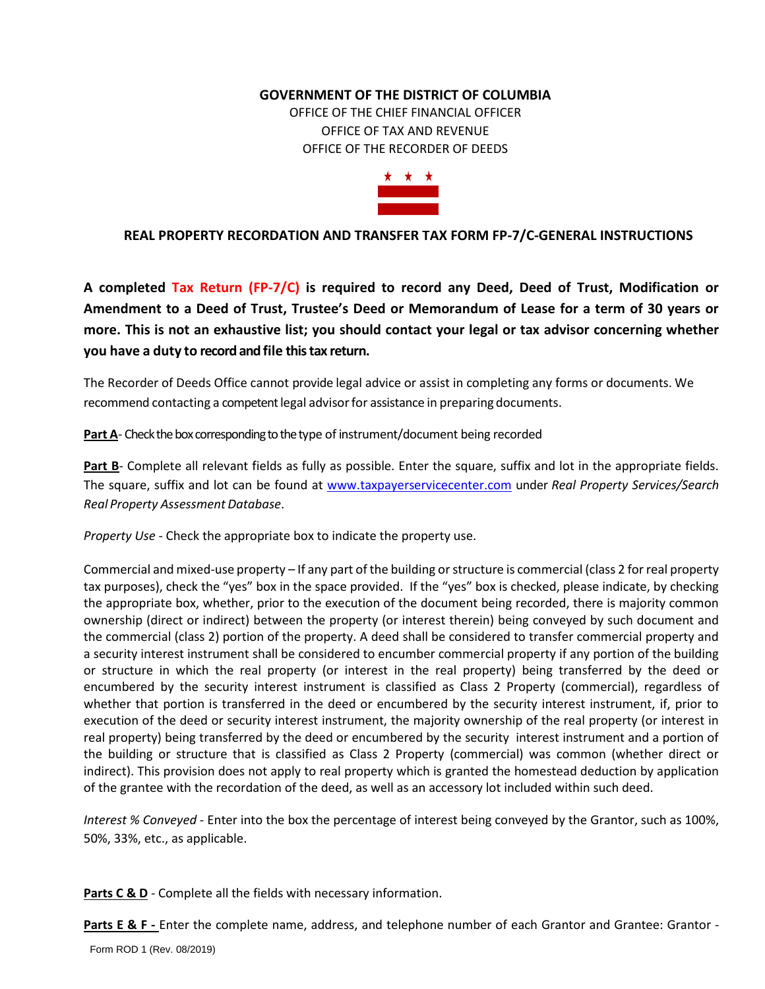### **GOVERNMENT OF THE DISTRICT OF COLUMBIA**

OFFICE OF THE CHIEF FINANCIAL OFFICER OFFICE OF TAX AND REVENUE OFFICE OF THE RECORDER OF DEEDS



## **REAL PROPERTY RECORDATION AND TRA[NSFER TA](http://www.suilebhan.com/)X FORM FP-7/C-GENERAL INSTRUCTIONS**

**A completed Tax Return (FP-7/C) is required to record any Deed, Deed of Trust, Modification or Amendment to a Deed of Trust, Trustee's Deed or [Mem](https://creativecommons.org/licenses/by-nc-nd/3.0/)orandum of Lease for a term of 30 years or more. This is not an exhaustive list; you should [contact](https://creativecommons.org/licenses/by-nc-nd/3.0/) your legal or tax advisor concerning whether you have a duty to record and file this tax return.**

The Recorder of Deeds Office cannot provide legal advice or assist in completing any forms or documents. We recommend contacting a competent legal advisorfor assistance in preparing documents.

**Part A**- Check the box corresponding to the type of instrument/document being recorded

Part B- Complete all relevant fields as fully as possible. Enter the square, suffix and lot in the appropriate fields. The square, suffix and lot can be found at [www.taxpayerservicecenter.com](http://www.taxpayerservicecenter.com/) under *Real Property Services/Search Real Property Assessment Database*.

*Property Use* - Check the appropriate box to indicate the property use.

Commercial and mixed-use property – If any part of the building or structure is commercial (class 2 for real property tax purposes), check the "yes" box in the space provided. If the "yes" box is checked, please indicate, by checking the appropriate box, whether, prior to the execution of the document being recorded, there is majority common ownership (direct or indirect) between the property (or interest therein) being conveyed by such document and the commercial (class 2) portion of the property. A deed shall be considered to transfer commercial property and a security interest instrument shall be considered to encumber commercial property if any portion of the building or structure in which the real property (or interest in the real property) being transferred by the deed or encumbered by the security interest instrument is classified as Class 2 Property (commercial), regardless of whether that portion is transferred in the deed or encumbered by the security interest instrument, if, prior to execution of the deed or security interest instrument, the majority ownership of the real property (or interest in real property) being transferred by the deed or encumbered by the security interest instrument and a portion of the building or structure that is classified as Class 2 Property (commercial) was common (whether direct or indirect). This provision does not apply to real property which is granted the homestead deduction by application of the grantee with the recordation of the deed, as well as an accessory lot included within such deed.

*Interest % Conveyed* - Enter into the box the percentage of interest being conveyed by the Grantor, such as 100%, 50%, 33%, etc., as applicable.

Parts C & D - Complete all the fields with necessary information.

**Parts E & F** - Enter the complete name, address, and telephone number of each Grantor and Grantee: Grantor -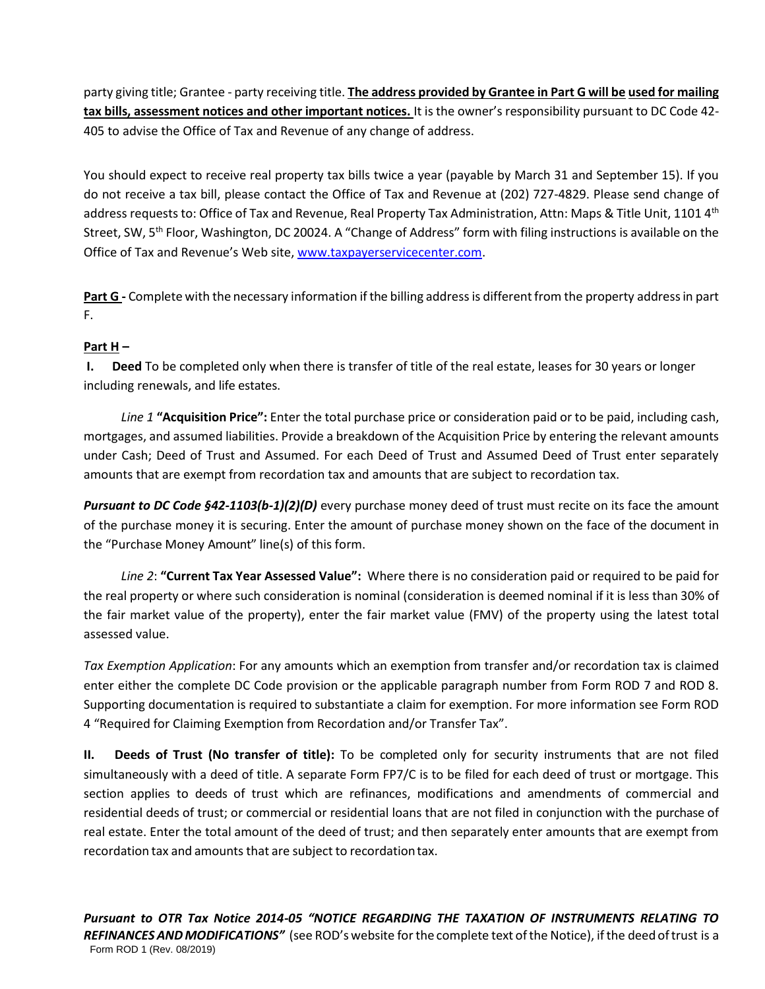party giving title; Grantee - party receiving title. **The address provided by Grantee in Part G will be used for mailing tax bills, assessment notices and other important notices.** It is the owner's responsibility pursuant to DC Code 42- 405 to advise the Office of Tax and Revenue of any change of address.

You should expect to receive real property tax bills twice a year (payable by March 31 and September 15). If you do not receive a tax bill, please contact the Office of Tax and Revenue at (202) 727-4829. Please send change of address requests to: Office of Tax and Revenue, Real Property Tax Administration, Attn: Maps & Title Unit, 1101 4<sup>th</sup> Street, SW, 5<sup>th</sup> Floor, Washington, DC 20024. A "Change of Address" form with filing instructions is available on the Office of Tax and Revenue's Web site, [www.taxpayerservicecenter.com.](http://www.taxpayerservicecenter.com/)

Part G - Complete with the necessary information if the billing address is different from the property address in part F.

# **Part H –**

**I. Deed** To be completed only when there is transfer of title of the real estate, leases for 30 years or longer including renewals, and life estates.

*Line 1* **"Acquisition Price":** Enter the total purchase price or consideration paid or to be paid, including cash, mortgages, and assumed liabilities. Provide a breakdown of the Acquisition Price by entering the relevant amounts under Cash; Deed of Trust and Assumed. For each Deed of Trust and Assumed Deed of Trust enter separately amounts that are exempt from recordation tax and amounts that are subject to recordation tax.

*Pursuant to DC Code §42-1103(b-1)(2)(D)* every purchase money deed of trust must recite on its face the amount of the purchase money it is securing. Enter the amount of purchase money shown on the face of the document in the "Purchase Money Amount" line(s) of this form.

*Line 2*: **"Current Tax Year Assessed Value":** Where there is no consideration paid or required to be paid for the real property or where such consideration is nominal (consideration is deemed nominal if it is less than 30% of the fair market value of the property), enter the fair market value (FMV) of the property using the latest total assessed value.

*Tax Exemption Application*: For any amounts which an exemption from transfer and/or recordation tax is claimed enter either the complete DC Code provision or the applicable paragraph number from Form ROD 7 and ROD 8. Supporting documentation is required to substantiate a claim for exemption. For more information see Form ROD 4 "Required for Claiming Exemption from Recordation and/or Transfer Tax".

**II. Deeds of Trust (No transfer of title):** To be completed only for security instruments that are not filed simultaneously with a deed of title. A separate Form FP7/C is to be filed for each deed of trust or mortgage. This section applies to deeds of trust which are refinances, modifications and amendments of commercial and residential deeds of trust; or commercial or residential loans that are not filed in conjunction with the purchase of real estate. Enter the total amount of the deed of trust; and then separately enter amounts that are exempt from recordation tax and amounts that are subject to recordationtax.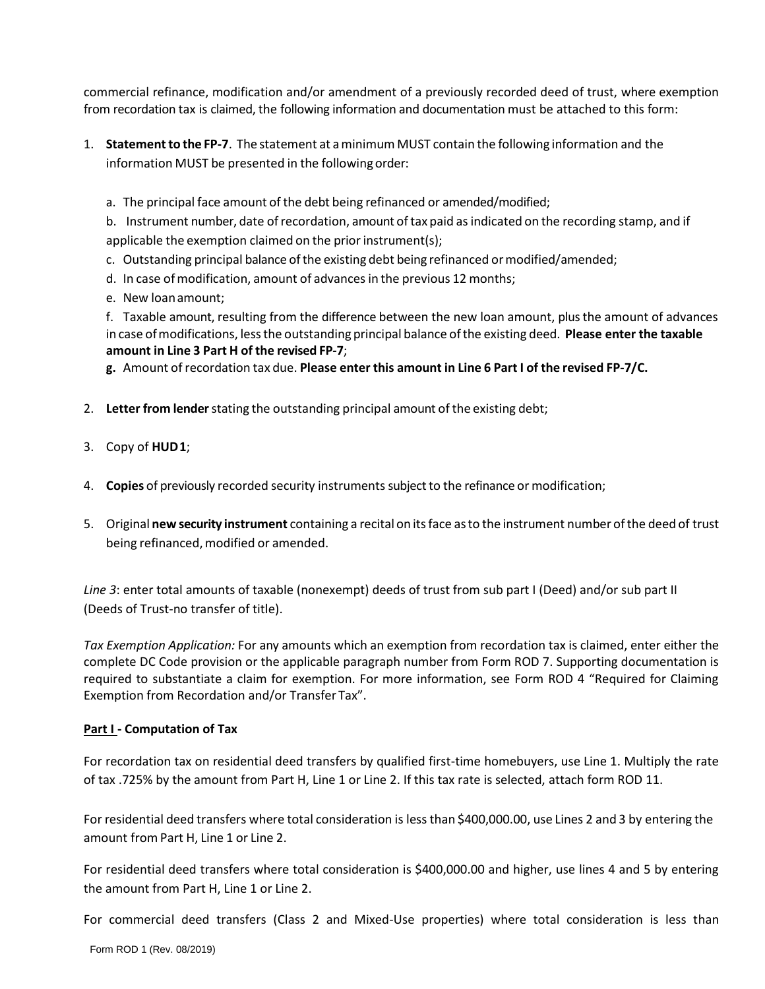commercial refinance, modification and/or amendment of a previously recorded deed of trust, where exemption from recordation tax is claimed, the following information and documentation must be attached to this form:

- 1. **Statementto the FP-7**. The statement at aminimum MUST contain the following information and the information MUST be presented in the following order:
	- a. The principal face amount of the debt being refinanced or amended/modified;

b. Instrument number, date ofrecordation, amount oftax paid asindicated on the recording stamp, and if applicable the exemption claimed on the prior instrument(s);

- c. Outstanding principal balance ofthe existing debt being refinanced ormodified/amended;
- d. In case of modification, amount of advances in the previous 12 months;
- e. New loanamount;

f. Taxable amount, resulting from the difference between the new loan amount, plus the amount of advances in case ofmodifications, lessthe outstanding principal balance ofthe existing deed. **Please enter the taxable amount in Line 3 Part H of the revised FP-7**;

**g.** Amount of recordation tax due. **Please enter this amount in Line 6 Part I of the revised FP-7/C.**

- 2. **Letter from lender**stating the outstanding principal amount of the existing debt;
- 3. Copy of **HUD1**;
- 4. **Copies** of previously recorded security instrumentssubjectto the refinance or modification;
- 5. Original **new security instrument** containing a recitalon itsface asto the instrument number ofthe deed of trust being refinanced, modified or amended.

*Line 3*: enter total amounts of taxable (nonexempt) deeds of trust from sub part I (Deed) and/or sub part II (Deeds of Trust-no transfer of title).

*Tax Exemption Application:* For any amounts which an exemption from recordation tax is claimed, enter either the complete DC Code provision or the applicable paragraph number from Form ROD 7. Supporting documentation is required to substantiate a claim for exemption. For more information, see Form ROD 4 "Required for Claiming Exemption from Recordation and/or Transfer Tax".

### **Part I - Computation of Tax**

For recordation tax on residential deed transfers by qualified first-time homebuyers, use Line 1. Multiply the rate of tax .725% by the amount from Part H, Line 1 or Line 2. If this tax rate is selected, attach form ROD 11.

For residential deed transfers where total consideration is less than \$400,000.00, use Lines 2 and 3 by entering the amount from Part H, Line 1 or Line 2.

For residential deed transfers where total consideration is \$400,000.00 and higher, use lines 4 and 5 by entering the amount from Part H, Line 1 or Line 2.

For commercial deed transfers (Class 2 and Mixed-Use properties) where total consideration is less than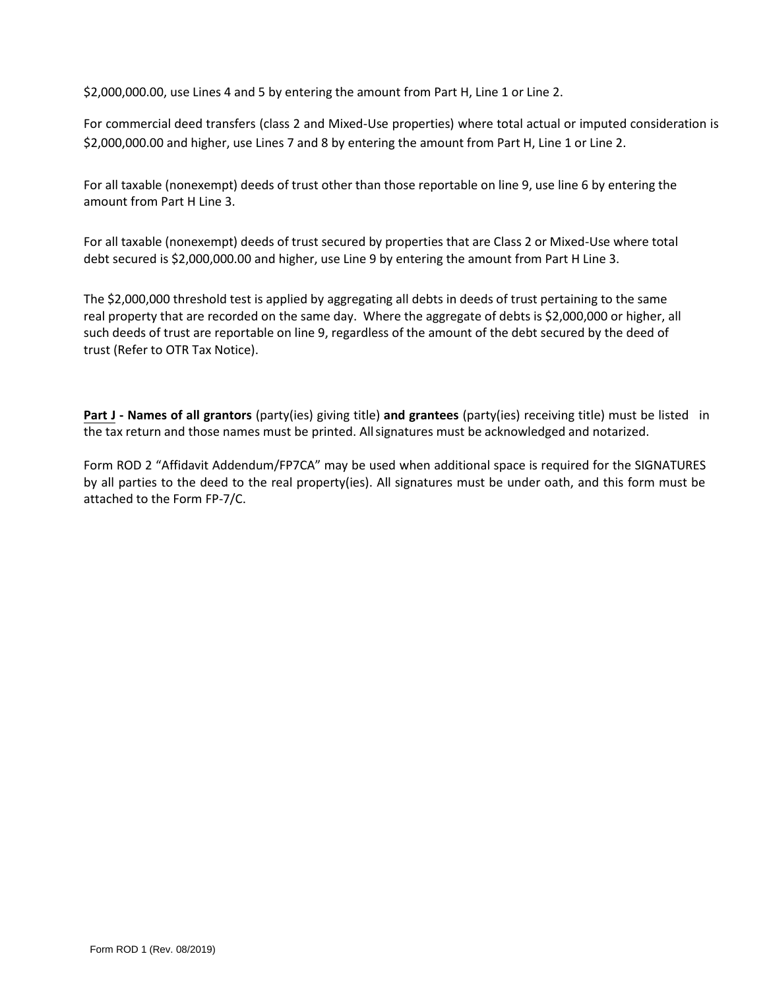\$2,000,000.00, use Lines 4 and 5 by entering the amount from Part H, Line 1 or Line 2.

For commercial deed transfers (class 2 and Mixed-Use properties) where total actual or imputed consideration is \$2,000,000.00 and higher, use Lines 7 and 8 by entering the amount from Part H, Line 1 or Line 2.

For all taxable (nonexempt) deeds of trust other than those reportable on line 9, use line 6 by entering the amount from Part H Line 3.

For all taxable (nonexempt) deeds of trust secured by properties that are Class 2 or Mixed-Use where total debt secured is \$2,000,000.00 and higher, use Line 9 by entering the amount from Part H Line 3.

The \$2,000,000 threshold test is applied by aggregating all debts in deeds of trust pertaining to the same real property that are recorded on the same day. Where the aggregate of debts is \$2,000,000 or higher, all such deeds of trust are reportable on line 9, regardless of the amount of the debt secured by the deed of trust (Refer to OTR Tax Notice).

**Part J - Names of all grantors** (party(ies) giving title) **and grantees** (party(ies) receiving title) must be listed in the tax return and those names must be printed. All signatures must be acknowledged and notarized.

Form ROD 2 "Affidavit Addendum/FP7CA" may be used when additional space is required for the SIGNATURES by all parties to the deed to the real property(ies). All signatures must be under oath, and this form must be attached to the Form FP-7/C.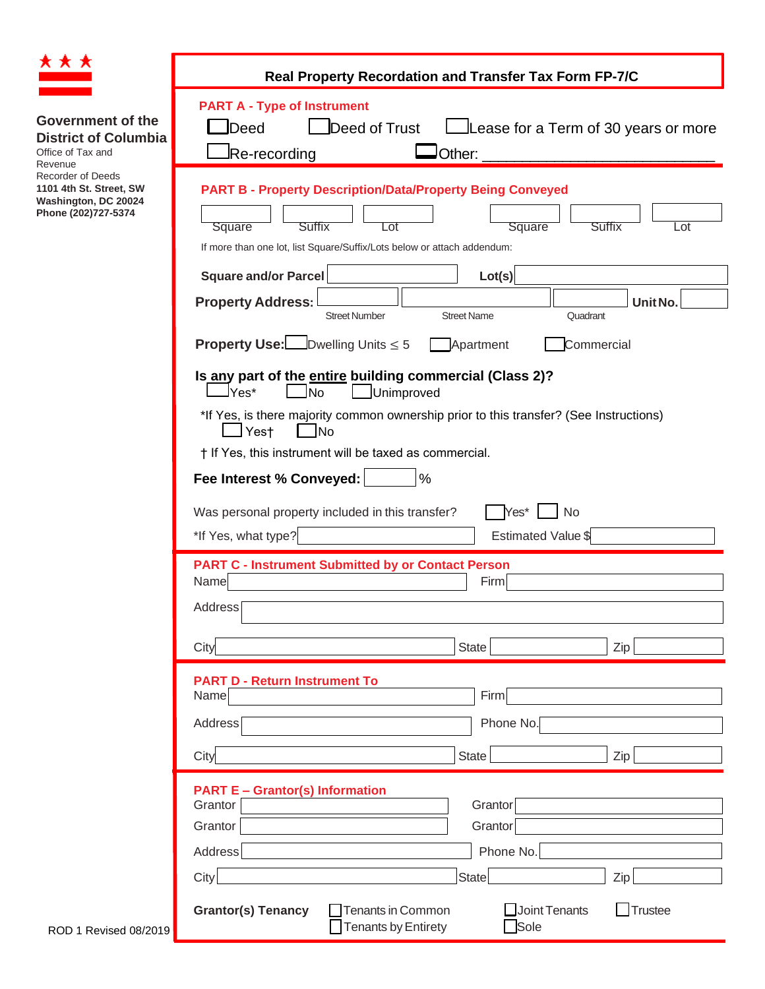| * * *                                                                                              |                                                                                                                                                                                                    |  |  |  |  |  |
|----------------------------------------------------------------------------------------------------|----------------------------------------------------------------------------------------------------------------------------------------------------------------------------------------------------|--|--|--|--|--|
|                                                                                                    | Real Property Recordation and Transfer Tax Form FP-7/C                                                                                                                                             |  |  |  |  |  |
| <b>Government of the</b><br><b>District of Columbia</b><br>Office of Tax and<br>Revenue            | <b>PART A - Type of Instrument</b><br>JDeed<br>Deed of Trust<br>Lease for a Term of 30 years or more<br>Re-recording<br>$\mathsf{J}$ Other:                                                        |  |  |  |  |  |
| <b>Recorder of Deeds</b><br>1101 4th St. Street, SW<br>Washington, DC 20024<br>Phone (202)727-5374 | <b>PART B - Property Description/Data/Property Being Conveyed</b><br>Square<br>Suffix<br>Square<br>Suffix<br>Lot<br>Lot<br>If more than one lot, list Square/Suffix/Lots below or attach addendum: |  |  |  |  |  |
|                                                                                                    | Square and/or Parcel<br>Lot(s)                                                                                                                                                                     |  |  |  |  |  |
|                                                                                                    | <b>Property Address:</b><br>Unit No.<br><b>Street Number</b><br><b>Street Name</b><br>Quadrant                                                                                                     |  |  |  |  |  |
|                                                                                                    | <b>Property Use:</b> Dwelling Units $\leq 5$<br>Apartment<br>Commercial                                                                                                                            |  |  |  |  |  |
|                                                                                                    | Is any part of the entire building commercial (Class 2)?<br>JYes*<br>Unimproved<br><b>JNo</b>                                                                                                      |  |  |  |  |  |
|                                                                                                    | *If Yes, is there majority common ownership prior to this transfer? (See Instructions)<br>$\mathbin{\sqcup}$ Yes†<br><b>No</b>                                                                     |  |  |  |  |  |
|                                                                                                    | † If Yes, this instrument will be taxed as commercial.                                                                                                                                             |  |  |  |  |  |
|                                                                                                    | Fee Interest % Conveyed:<br>$\%$                                                                                                                                                                   |  |  |  |  |  |
|                                                                                                    | Was personal property included in this transfer?<br>Yes*<br><b>No</b>                                                                                                                              |  |  |  |  |  |
|                                                                                                    | *If Yes, what type?<br>Estimated Value \$                                                                                                                                                          |  |  |  |  |  |
|                                                                                                    | <b>PART C - Instrument Submitted by or Contact Person</b><br>Name<br>Firm                                                                                                                          |  |  |  |  |  |
|                                                                                                    | Address <sup>[</sup>                                                                                                                                                                               |  |  |  |  |  |
|                                                                                                    | City<br>State<br>Zip                                                                                                                                                                               |  |  |  |  |  |
|                                                                                                    | <b>PART D - Return Instrument To</b>                                                                                                                                                               |  |  |  |  |  |
|                                                                                                    | Firm<br>Name<br>Phone No.<br>Address                                                                                                                                                               |  |  |  |  |  |
|                                                                                                    | State<br>City<br>Zip                                                                                                                                                                               |  |  |  |  |  |
|                                                                                                    | <b>PART E - Grantor(s) Information</b><br>Grantor<br>Grantor                                                                                                                                       |  |  |  |  |  |
|                                                                                                    | Grantor<br>Grantor                                                                                                                                                                                 |  |  |  |  |  |
|                                                                                                    | Phone No.<br>Address                                                                                                                                                                               |  |  |  |  |  |
|                                                                                                    | City<br>State<br>Zip                                                                                                                                                                               |  |  |  |  |  |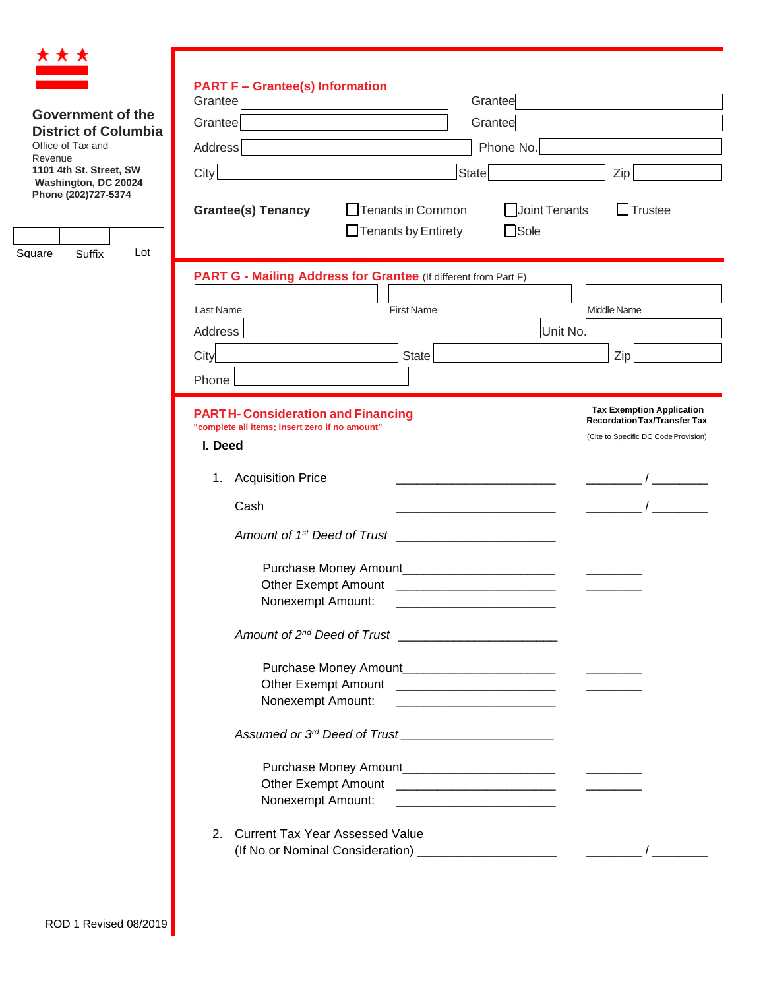

|                                                         | <b>PART F - Grantee(s) Information</b>                                                                                                                                                                                             |                                      |  |  |  |
|---------------------------------------------------------|------------------------------------------------------------------------------------------------------------------------------------------------------------------------------------------------------------------------------------|--------------------------------------|--|--|--|
|                                                         | Grantee<br>Grantee                                                                                                                                                                                                                 |                                      |  |  |  |
| <b>Government of the</b><br><b>District of Columbia</b> | Grantee<br>Grantee                                                                                                                                                                                                                 |                                      |  |  |  |
| Office of Tax and<br>Revenue                            | Phone No.<br>Address                                                                                                                                                                                                               |                                      |  |  |  |
| 1101 4th St. Street, SW                                 | City<br>State                                                                                                                                                                                                                      | $Zip \vert$                          |  |  |  |
| Washington, DC 20024<br>Phone (202)727-5374             |                                                                                                                                                                                                                                    |                                      |  |  |  |
|                                                         | Joint Tenants<br>$\Box$ Tenants in Common<br><b>Grantee(s) Tenancy</b>                                                                                                                                                             | $\Box$ Trustee                       |  |  |  |
|                                                         | $\Box$ Sole<br>$\Box$ Tenants by Entirety                                                                                                                                                                                          |                                      |  |  |  |
|                                                         | Lot<br>Square<br>Suffix                                                                                                                                                                                                            |                                      |  |  |  |
|                                                         | PART G - Mailing Address for Grantee (If different from Part F)                                                                                                                                                                    |                                      |  |  |  |
|                                                         | Last Name<br><b>First Name</b>                                                                                                                                                                                                     | Middle Name                          |  |  |  |
|                                                         | <b>Address</b><br>Unit No.                                                                                                                                                                                                         |                                      |  |  |  |
|                                                         | City<br>State                                                                                                                                                                                                                      | Zip                                  |  |  |  |
|                                                         | Phone                                                                                                                                                                                                                              |                                      |  |  |  |
|                                                         |                                                                                                                                                                                                                                    | <b>Tax Exemption Application</b>     |  |  |  |
|                                                         | <b>PARTH-Consideration and Financing</b><br>"complete all items; insert zero if no amount"                                                                                                                                         | <b>Recordation Tax/Transfer Tax</b>  |  |  |  |
|                                                         | I. Deed                                                                                                                                                                                                                            | (Cite to Specific DC Code Provision) |  |  |  |
|                                                         | <b>Acquisition Price</b><br>1.                                                                                                                                                                                                     |                                      |  |  |  |
|                                                         |                                                                                                                                                                                                                                    |                                      |  |  |  |
|                                                         | Cash                                                                                                                                                                                                                               |                                      |  |  |  |
|                                                         | Amount of 1 <sup>st</sup> Deed of Trust _____________                                                                                                                                                                              |                                      |  |  |  |
|                                                         |                                                                                                                                                                                                                                    |                                      |  |  |  |
|                                                         | Other Exempt Amount <b>contained a manufacturer and the COV</b> contains the contact of the contact of the contact of the contact of the contact of the contact of the contact of the contact of the contact of the contact of the |                                      |  |  |  |
|                                                         | Nonexempt Amount:                                                                                                                                                                                                                  |                                      |  |  |  |
|                                                         | Amount of 2 <sup>nd</sup> Deed of Trust                                                                                                                                                                                            |                                      |  |  |  |
|                                                         |                                                                                                                                                                                                                                    |                                      |  |  |  |
|                                                         |                                                                                                                                                                                                                                    |                                      |  |  |  |
|                                                         | Nonexempt Amount:                                                                                                                                                                                                                  |                                      |  |  |  |
|                                                         |                                                                                                                                                                                                                                    |                                      |  |  |  |
|                                                         |                                                                                                                                                                                                                                    |                                      |  |  |  |
|                                                         |                                                                                                                                                                                                                                    |                                      |  |  |  |
|                                                         | Nonexempt Amount:<br><u> 2000 - Jan Jan James Alexander (</u>                                                                                                                                                                      |                                      |  |  |  |
| 2. Current Tax Year Assessed Value                      |                                                                                                                                                                                                                                    |                                      |  |  |  |
|                                                         |                                                                                                                                                                                                                                    |                                      |  |  |  |
|                                                         |                                                                                                                                                                                                                                    |                                      |  |  |  |